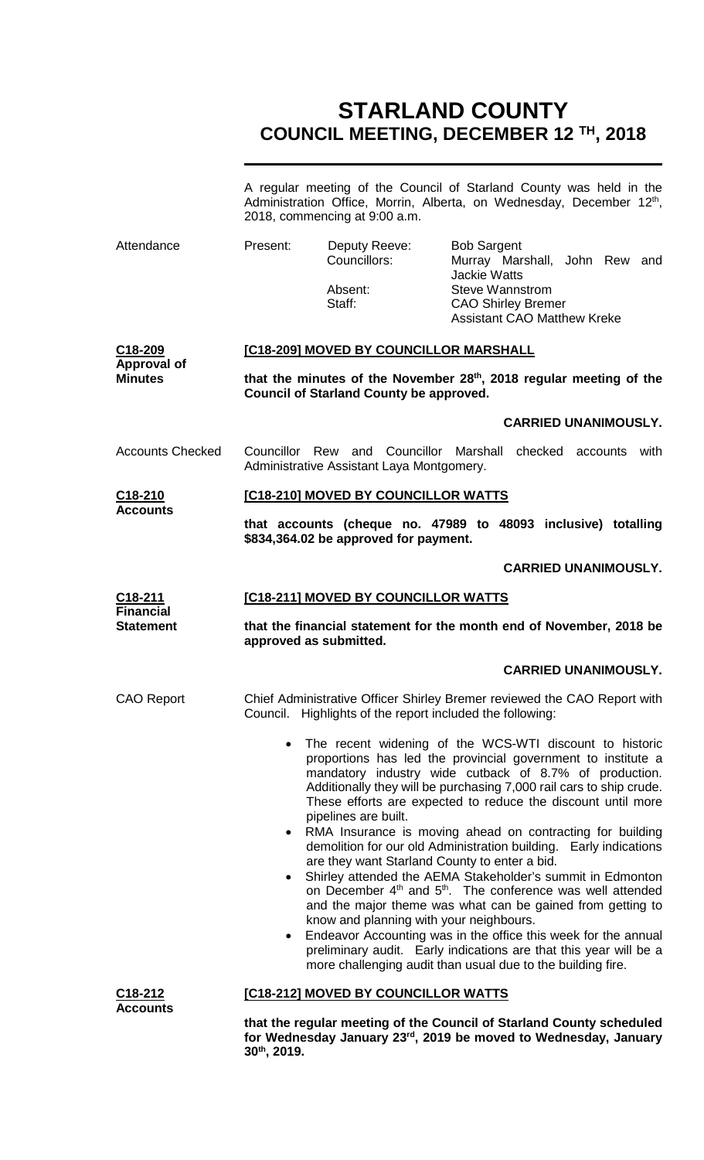# **STARLAND COUNTY COUNCIL MEETING, DECEMBER 12 TH, 2018**

|                                         | A regular meeting of the Council of Starland County was held in the<br>Administration Office, Morrin, Alberta, on Wednesday, December 12th,<br>2018, commencing at 9:00 a.m.                                                                                                                                                                                                                                                                                                              |                                                  |                                                                                                      |  |  |
|-----------------------------------------|-------------------------------------------------------------------------------------------------------------------------------------------------------------------------------------------------------------------------------------------------------------------------------------------------------------------------------------------------------------------------------------------------------------------------------------------------------------------------------------------|--------------------------------------------------|------------------------------------------------------------------------------------------------------|--|--|
| Attendance                              | Present:                                                                                                                                                                                                                                                                                                                                                                                                                                                                                  | Deputy Reeve:<br>Councillors:<br>Absent:         | <b>Bob Sargent</b><br>Murray Marshall, John Rew and<br><b>Jackie Watts</b><br><b>Steve Wannstrom</b> |  |  |
|                                         |                                                                                                                                                                                                                                                                                                                                                                                                                                                                                           | Staff:                                           | <b>CAO Shirley Bremer</b><br><b>Assistant CAO Matthew Kreke</b>                                      |  |  |
| C18-209<br><b>Approval of</b>           | [C18-209] MOVED BY COUNCILLOR MARSHALL                                                                                                                                                                                                                                                                                                                                                                                                                                                    |                                                  |                                                                                                      |  |  |
| <b>Minutes</b>                          | that the minutes of the November 28th, 2018 regular meeting of the<br><b>Council of Starland County be approved.</b>                                                                                                                                                                                                                                                                                                                                                                      |                                                  |                                                                                                      |  |  |
|                                         |                                                                                                                                                                                                                                                                                                                                                                                                                                                                                           |                                                  | <b>CARRIED UNANIMOUSLY.</b>                                                                          |  |  |
| <b>Accounts Checked</b>                 | Councillor Rew and Councillor Marshall checked accounts with<br>Administrative Assistant Laya Montgomery.                                                                                                                                                                                                                                                                                                                                                                                 |                                                  |                                                                                                      |  |  |
| C18-210<br><b>Accounts</b>              |                                                                                                                                                                                                                                                                                                                                                                                                                                                                                           | [C18-210] MOVED BY COUNCILLOR WATTS              |                                                                                                      |  |  |
|                                         | that accounts (cheque no. 47989 to 48093 inclusive) totalling<br>\$834,364.02 be approved for payment.                                                                                                                                                                                                                                                                                                                                                                                    |                                                  |                                                                                                      |  |  |
|                                         |                                                                                                                                                                                                                                                                                                                                                                                                                                                                                           |                                                  | <b>CARRIED UNANIMOUSLY.</b>                                                                          |  |  |
| $C18-211$<br><b>Financial</b>           |                                                                                                                                                                                                                                                                                                                                                                                                                                                                                           | [C18-211] MOVED BY COUNCILLOR WATTS              |                                                                                                      |  |  |
| <b>Statement</b>                        | that the financial statement for the month end of November, 2018 be<br>approved as submitted.                                                                                                                                                                                                                                                                                                                                                                                             |                                                  |                                                                                                      |  |  |
|                                         |                                                                                                                                                                                                                                                                                                                                                                                                                                                                                           |                                                  | <b>CARRIED UNANIMOUSLY.</b>                                                                          |  |  |
| <b>CAO Report</b>                       | Council.                                                                                                                                                                                                                                                                                                                                                                                                                                                                                  | Highlights of the report included the following: | Chief Administrative Officer Shirley Bremer reviewed the CAO Report with                             |  |  |
|                                         | The recent widening of the WCS-WTI discount to historic<br>proportions has led the provincial government to institute a<br>mandatory industry wide cutback of 8.7% of production.<br>Additionally they will be purchasing 7,000 rail cars to ship crude.<br>These efforts are expected to reduce the discount until more<br>pipelines are built.                                                                                                                                          |                                                  |                                                                                                      |  |  |
|                                         | RMA Insurance is moving ahead on contracting for building<br>$\bullet$<br>demolition for our old Administration building. Early indications<br>are they want Starland County to enter a bid.                                                                                                                                                                                                                                                                                              |                                                  |                                                                                                      |  |  |
|                                         | Shirley attended the AEMA Stakeholder's summit in Edmonton<br>$\bullet$<br>on December 4 <sup>th</sup> and 5 <sup>th</sup> . The conference was well attended<br>and the major theme was what can be gained from getting to<br>know and planning with your neighbours.<br>Endeavor Accounting was in the office this week for the annual<br>$\bullet$<br>preliminary audit. Early indications are that this year will be a<br>more challenging audit than usual due to the building fire. |                                                  |                                                                                                      |  |  |
|                                         |                                                                                                                                                                                                                                                                                                                                                                                                                                                                                           |                                                  |                                                                                                      |  |  |
| C <sub>18</sub> -212<br><b>Accounts</b> | [C18-212] MOVED BY COUNCILLOR WATTS                                                                                                                                                                                                                                                                                                                                                                                                                                                       |                                                  |                                                                                                      |  |  |
|                                         | that the regular meeting of the Council of Starland County scheduled                                                                                                                                                                                                                                                                                                                                                                                                                      |                                                  |                                                                                                      |  |  |

**for Wednesday January 23rd, 2019 be moved to Wednesday, January** 

**30th, 2019.**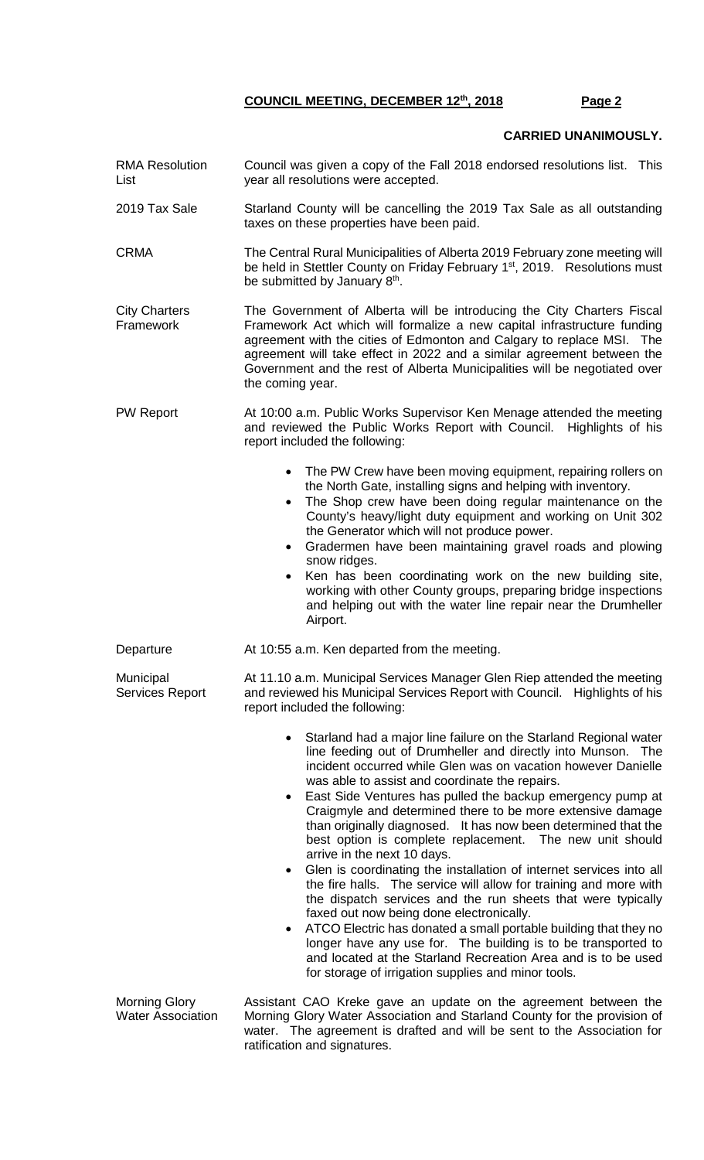#### **CARRIED UNANIMOUSLY.**

RMA Resolution List Council was given a copy of the Fall 2018 endorsed resolutions list. This year all resolutions were accepted. 2019 Tax Sale Starland County will be cancelling the 2019 Tax Sale as all outstanding taxes on these properties have been paid. CRMA The Central Rural Municipalities of Alberta 2019 February zone meeting will be held in Stettler County on Friday February 1<sup>st</sup>, 2019. Resolutions must be submitted by January  $8<sup>th</sup>$ . City Charters Framework The Government of Alberta will be introducing the City Charters Fiscal Framework Act which will formalize a new capital infrastructure funding agreement with the cities of Edmonton and Calgary to replace MSI. The agreement will take effect in 2022 and a similar agreement between the Government and the rest of Alberta Municipalities will be negotiated over the coming year. PW Report **At 10:00 a.m. Public Works Supervisor Ken Menage attended the meeting** and reviewed the Public Works Report with Council. Highlights of his report included the following: • The PW Crew have been moving equipment, repairing rollers on the North Gate, installing signs and helping with inventory. The Shop crew have been doing regular maintenance on the County's heavy/light duty equipment and working on Unit 302 the Generator which will not produce power. • Gradermen have been maintaining gravel roads and plowing snow ridges. • Ken has been coordinating work on the new building site, working with other County groups, preparing bridge inspections and helping out with the water line repair near the Drumheller Airport. Departure **At 10:55 a.m. Ken departed from the meeting. Municipal** Services Report At 11.10 a.m. Municipal Services Manager Glen Riep attended the meeting and reviewed his Municipal Services Report with Council. Highlights of his report included the following: • Starland had a major line failure on the Starland Regional water line feeding out of Drumheller and directly into Munson. The incident occurred while Glen was on vacation however Danielle was able to assist and coordinate the repairs. East Side Ventures has pulled the backup emergency pump at Craigmyle and determined there to be more extensive damage than originally diagnosed. It has now been determined that the best option is complete replacement. The new unit should arrive in the next 10 days. • Glen is coordinating the installation of internet services into all the fire halls. The service will allow for training and more with the dispatch services and the run sheets that were typically faxed out now being done electronically. • ATCO Electric has donated a small portable building that they no longer have any use for. The building is to be transported to and located at the Starland Recreation Area and is to be used for storage of irrigation supplies and minor tools. Morning Glory Assistant CAO Kreke gave an update on the agreement between the

Water Association Morning Glory Water Association and Starland County for the provision of water. The agreement is drafted and will be sent to the Association for ratification and signatures.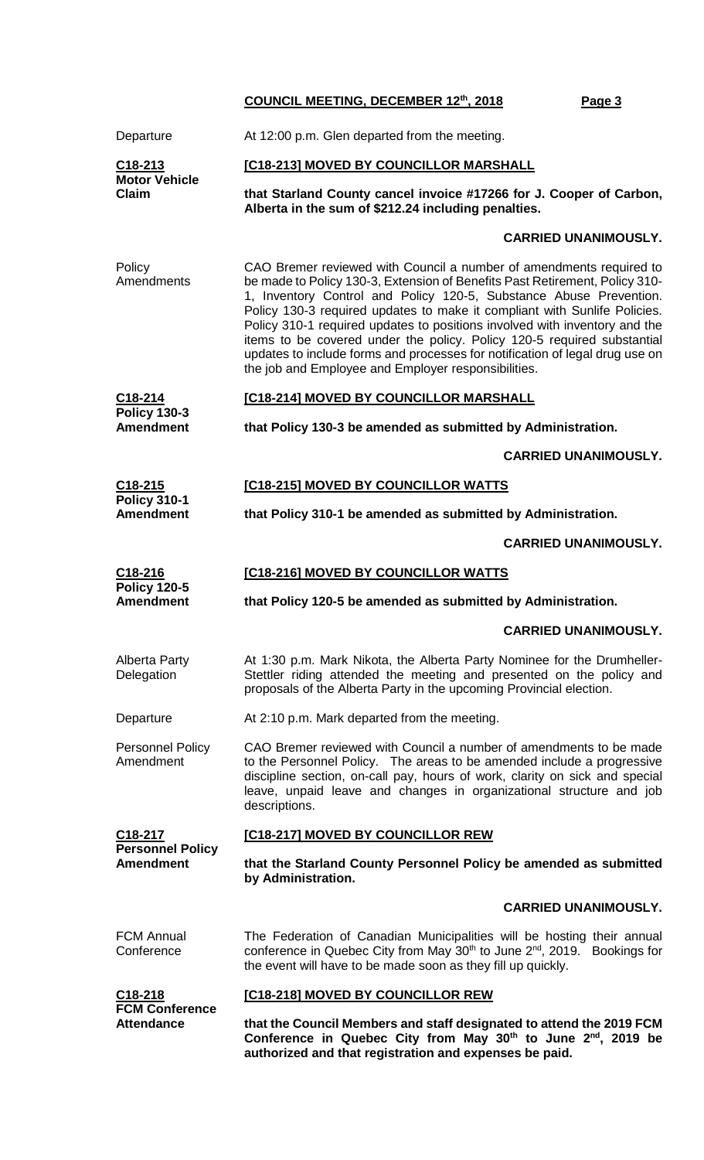| Departure                                                       | At 12:00 p.m. Glen departed from the meeting.                                                                                                                                                                                                                                                                                                                                                                                                                                                                                                                                                         |  |  |
|-----------------------------------------------------------------|-------------------------------------------------------------------------------------------------------------------------------------------------------------------------------------------------------------------------------------------------------------------------------------------------------------------------------------------------------------------------------------------------------------------------------------------------------------------------------------------------------------------------------------------------------------------------------------------------------|--|--|
| C <sub>18</sub> -213<br><b>Motor Vehicle</b><br><b>Claim</b>    | [C18-213] MOVED BY COUNCILLOR MARSHALL                                                                                                                                                                                                                                                                                                                                                                                                                                                                                                                                                                |  |  |
|                                                                 | that Starland County cancel invoice #17266 for J. Cooper of Carbon,<br>Alberta in the sum of \$212.24 including penalties.                                                                                                                                                                                                                                                                                                                                                                                                                                                                            |  |  |
|                                                                 | <b>CARRIED UNANIMOUSLY.</b>                                                                                                                                                                                                                                                                                                                                                                                                                                                                                                                                                                           |  |  |
| Policy<br>Amendments                                            | CAO Bremer reviewed with Council a number of amendments required to<br>be made to Policy 130-3, Extension of Benefits Past Retirement, Policy 310-<br>1, Inventory Control and Policy 120-5, Substance Abuse Prevention.<br>Policy 130-3 required updates to make it compliant with Sunlife Policies.<br>Policy 310-1 required updates to positions involved with inventory and the<br>items to be covered under the policy. Policy 120-5 required substantial<br>updates to include forms and processes for notification of legal drug use on<br>the job and Employee and Employer responsibilities. |  |  |
| C18-214<br><b>Policy 130-3</b>                                  | [C18-214] MOVED BY COUNCILLOR MARSHALL                                                                                                                                                                                                                                                                                                                                                                                                                                                                                                                                                                |  |  |
| <b>Amendment</b>                                                | that Policy 130-3 be amended as submitted by Administration.                                                                                                                                                                                                                                                                                                                                                                                                                                                                                                                                          |  |  |
|                                                                 | <b>CARRIED UNANIMOUSLY.</b>                                                                                                                                                                                                                                                                                                                                                                                                                                                                                                                                                                           |  |  |
| C18-215<br><b>Policy 310-1</b>                                  | [C18-215] MOVED BY COUNCILLOR WATTS                                                                                                                                                                                                                                                                                                                                                                                                                                                                                                                                                                   |  |  |
| <b>Amendment</b>                                                | that Policy 310-1 be amended as submitted by Administration.                                                                                                                                                                                                                                                                                                                                                                                                                                                                                                                                          |  |  |
|                                                                 | <b>CARRIED UNANIMOUSLY.</b>                                                                                                                                                                                                                                                                                                                                                                                                                                                                                                                                                                           |  |  |
| C <sub>18</sub> -216<br><b>Policy 120-5</b><br><b>Amendment</b> | [C18-216] MOVED BY COUNCILLOR WATTS                                                                                                                                                                                                                                                                                                                                                                                                                                                                                                                                                                   |  |  |
|                                                                 | that Policy 120-5 be amended as submitted by Administration.                                                                                                                                                                                                                                                                                                                                                                                                                                                                                                                                          |  |  |
|                                                                 |                                                                                                                                                                                                                                                                                                                                                                                                                                                                                                                                                                                                       |  |  |
|                                                                 | <b>CARRIED UNANIMOUSLY.</b>                                                                                                                                                                                                                                                                                                                                                                                                                                                                                                                                                                           |  |  |
| <b>Alberta Party</b><br>Delegation                              | At 1:30 p.m. Mark Nikota, the Alberta Party Nominee for the Drumheller-<br>Stettler riding attended the meeting and presented on the policy and<br>proposals of the Alberta Party in the upcoming Provincial election.                                                                                                                                                                                                                                                                                                                                                                                |  |  |
| Departure                                                       | At 2:10 p.m. Mark departed from the meeting.                                                                                                                                                                                                                                                                                                                                                                                                                                                                                                                                                          |  |  |
| <b>Personnel Policy</b><br>Amendment                            | CAO Bremer reviewed with Council a number of amendments to be made<br>to the Personnel Policy. The areas to be amended include a progressive<br>discipline section, on-call pay, hours of work, clarity on sick and special<br>leave, unpaid leave and changes in organizational structure and job<br>descriptions.                                                                                                                                                                                                                                                                                   |  |  |
| C18-217                                                         | [C18-217] MOVED BY COUNCILLOR REW                                                                                                                                                                                                                                                                                                                                                                                                                                                                                                                                                                     |  |  |
| <b>Personnel Policy</b><br><b>Amendment</b>                     | that the Starland County Personnel Policy be amended as submitted<br>by Administration.                                                                                                                                                                                                                                                                                                                                                                                                                                                                                                               |  |  |
|                                                                 | <b>CARRIED UNANIMOUSLY.</b>                                                                                                                                                                                                                                                                                                                                                                                                                                                                                                                                                                           |  |  |
| <b>FCM Annual</b><br>Conference                                 | The Federation of Canadian Municipalities will be hosting their annual<br>conference in Quebec City from May 30 <sup>th</sup> to June 2 <sup>nd</sup> , 2019.<br>Bookings for<br>the event will have to be made soon as they fill up quickly.                                                                                                                                                                                                                                                                                                                                                         |  |  |
| C <sub>18</sub> -218<br><b>FCM Conference</b>                   | [C18-218] MOVED BY COUNCILLOR REW                                                                                                                                                                                                                                                                                                                                                                                                                                                                                                                                                                     |  |  |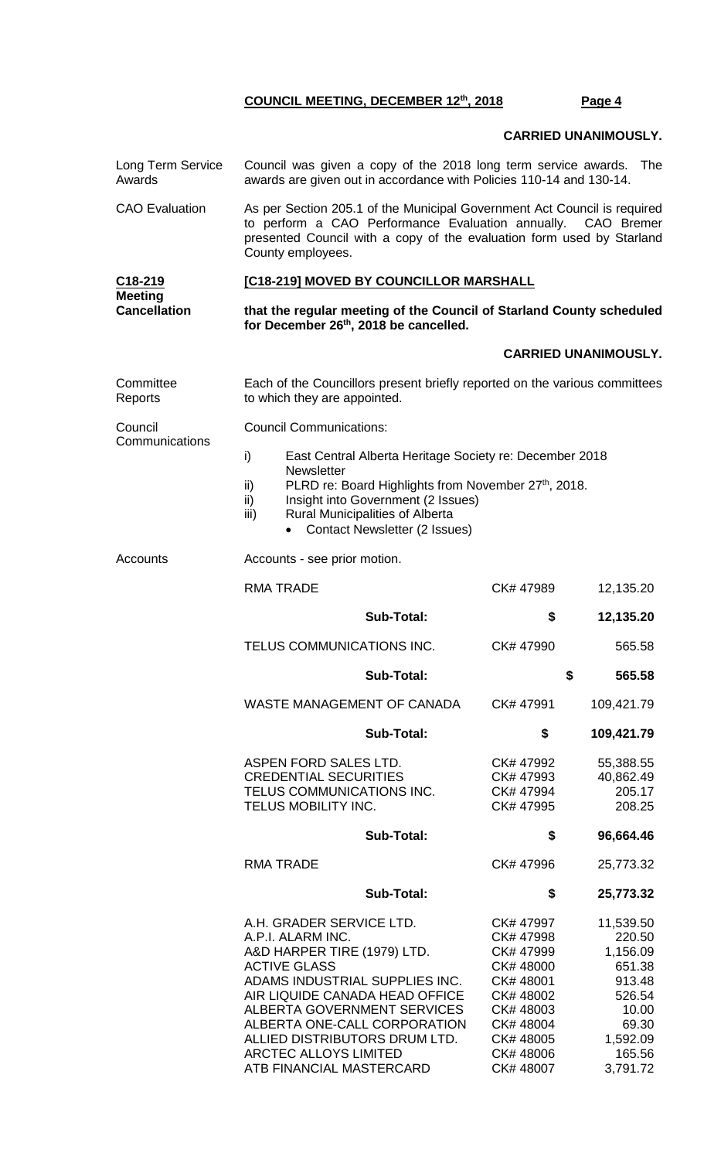### **CARRIED UNANIMOUSLY.**

| Long Term Service<br>Awards           | Council was given a copy of the 2018 long term service awards. The<br>awards are given out in accordance with Policies 110-14 and 130-14.                                                                                                                                                                                           |                                                                                                                                           |                                                                                                                   |  |  |  |
|---------------------------------------|-------------------------------------------------------------------------------------------------------------------------------------------------------------------------------------------------------------------------------------------------------------------------------------------------------------------------------------|-------------------------------------------------------------------------------------------------------------------------------------------|-------------------------------------------------------------------------------------------------------------------|--|--|--|
| <b>CAO</b> Evaluation                 | As per Section 205.1 of the Municipal Government Act Council is required<br>to perform a CAO Performance Evaluation annually. CAO Bremer<br>presented Council with a copy of the evaluation form used by Starland<br>County employees.                                                                                              |                                                                                                                                           |                                                                                                                   |  |  |  |
| C18-219                               | [C18-219] MOVED BY COUNCILLOR MARSHALL                                                                                                                                                                                                                                                                                              |                                                                                                                                           |                                                                                                                   |  |  |  |
| <b>Meeting</b><br><b>Cancellation</b> | that the regular meeting of the Council of Starland County scheduled<br>for December 26th, 2018 be cancelled.                                                                                                                                                                                                                       |                                                                                                                                           |                                                                                                                   |  |  |  |
|                                       |                                                                                                                                                                                                                                                                                                                                     |                                                                                                                                           | <b>CARRIED UNANIMOUSLY.</b>                                                                                       |  |  |  |
| Committee<br>Reports                  | Each of the Councillors present briefly reported on the various committees<br>to which they are appointed.                                                                                                                                                                                                                          |                                                                                                                                           |                                                                                                                   |  |  |  |
| Council                               | <b>Council Communications:</b>                                                                                                                                                                                                                                                                                                      |                                                                                                                                           |                                                                                                                   |  |  |  |
| Communications                        | i)<br>East Central Alberta Heritage Society re: December 2018<br><b>Newsletter</b><br>PLRD re: Board Highlights from November 27th, 2018.<br>ii)<br>Insight into Government (2 Issues)<br>ii)<br>Rural Municipalities of Alberta<br>iii)<br><b>Contact Newsletter (2 Issues)</b>                                                    |                                                                                                                                           |                                                                                                                   |  |  |  |
| Accounts                              | Accounts - see prior motion.                                                                                                                                                                                                                                                                                                        |                                                                                                                                           |                                                                                                                   |  |  |  |
|                                       | <b>RMA TRADE</b>                                                                                                                                                                                                                                                                                                                    | CK# 47989                                                                                                                                 | 12,135.20                                                                                                         |  |  |  |
|                                       | <b>Sub-Total:</b>                                                                                                                                                                                                                                                                                                                   | \$                                                                                                                                        | 12,135.20                                                                                                         |  |  |  |
|                                       | TELUS COMMUNICATIONS INC.                                                                                                                                                                                                                                                                                                           | CK# 47990                                                                                                                                 | 565.58                                                                                                            |  |  |  |
|                                       | Sub-Total:                                                                                                                                                                                                                                                                                                                          |                                                                                                                                           | \$<br>565.58                                                                                                      |  |  |  |
|                                       | <b>WASTE MANAGEMENT OF CANADA</b>                                                                                                                                                                                                                                                                                                   | CK# 47991                                                                                                                                 | 109,421.79                                                                                                        |  |  |  |
|                                       | Sub-Total:                                                                                                                                                                                                                                                                                                                          | \$                                                                                                                                        | 109,421.79                                                                                                        |  |  |  |
|                                       | ASPEN FORD SALES LTD.<br><b>CREDENTIAL SECURITIES</b><br>TELUS COMMUNICATIONS INC.<br>TELUS MOBILITY INC.                                                                                                                                                                                                                           | CK# 47992<br>CK# 47993<br>CK# 47994<br>CK# 47995                                                                                          | 55,388.55<br>40,862.49<br>205.17<br>208.25                                                                        |  |  |  |
|                                       | <b>Sub-Total:</b>                                                                                                                                                                                                                                                                                                                   | \$                                                                                                                                        | 96,664.46                                                                                                         |  |  |  |
|                                       | <b>RMA TRADE</b>                                                                                                                                                                                                                                                                                                                    | CK# 47996                                                                                                                                 | 25,773.32                                                                                                         |  |  |  |
|                                       | <b>Sub-Total:</b>                                                                                                                                                                                                                                                                                                                   | \$                                                                                                                                        | 25,773.32                                                                                                         |  |  |  |
|                                       | A.H. GRADER SERVICE LTD.<br>A.P.I. ALARM INC.<br>A&D HARPER TIRE (1979) LTD.<br><b>ACTIVE GLASS</b><br>ADAMS INDUSTRIAL SUPPLIES INC.<br>AIR LIQUIDE CANADA HEAD OFFICE<br>ALBERTA GOVERNMENT SERVICES<br>ALBERTA ONE-CALL CORPORATION<br>ALLIED DISTRIBUTORS DRUM LTD.<br><b>ARCTEC ALLOYS LIMITED</b><br>ATB FINANCIAL MASTERCARD | CK# 47997<br>CK# 47998<br>CK# 47999<br>CK# 48000<br>CK# 48001<br>CK# 48002<br>CK#48003<br>CK# 48004<br>CK# 48005<br>CK#48006<br>CK# 48007 | 11,539.50<br>220.50<br>1,156.09<br>651.38<br>913.48<br>526.54<br>10.00<br>69.30<br>1,592.09<br>165.56<br>3,791.72 |  |  |  |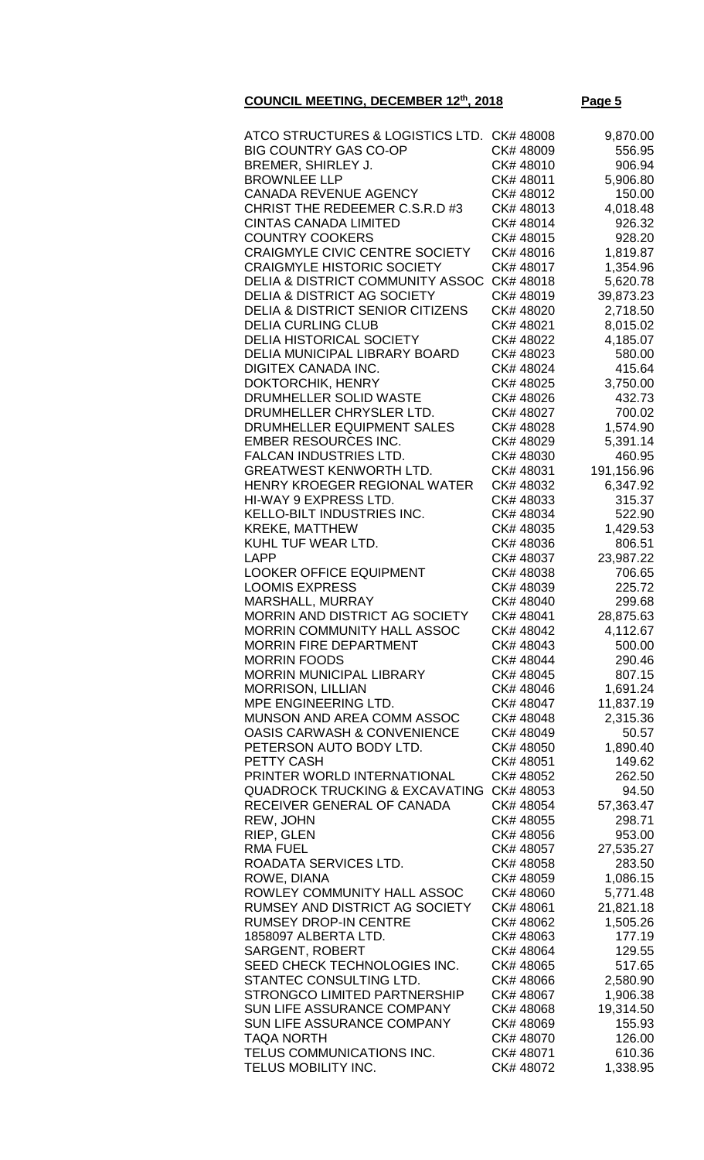| ATCO STRUCTURES & LOGISTICS LTD. CK# 48008  |           | 9,870.00   |
|---------------------------------------------|-----------|------------|
| <b>BIG COUNTRY GAS CO-OP</b>                | CK#48009  | 556.95     |
|                                             |           |            |
| BREMER, SHIRLEY J.                          | CK#48010  | 906.94     |
| <b>BROWNLEE LLP</b>                         | CK# 48011 | 5,906.80   |
|                                             |           |            |
| <b>CANADA REVENUE AGENCY</b>                | CK# 48012 | 150.00     |
| CHRIST THE REDEEMER C.S.R.D #3              | CK#48013  | 4,018.48   |
| <b>CINTAS CANADA LIMITED</b>                | CK#48014  |            |
|                                             |           | 926.32     |
| <b>COUNTRY COOKERS</b>                      | CK# 48015 | 928.20     |
| <b>CRAIGMYLE CIVIC CENTRE SOCIETY</b>       | CK# 48016 | 1,819.87   |
|                                             |           |            |
| <b>CRAIGMYLE HISTORIC SOCIETY</b>           | CK# 48017 | 1,354.96   |
| <b>DELIA &amp; DISTRICT COMMUNITY ASSOC</b> | CK#48018  | 5,620.78   |
|                                             |           |            |
| <b>DELIA &amp; DISTRICT AG SOCIETY</b>      | CK#48019  | 39,873.23  |
| <b>DELIA &amp; DISTRICT SENIOR CITIZENS</b> | CK# 48020 | 2,718.50   |
| <b>DELIA CURLING CLUB</b>                   | CK# 48021 |            |
|                                             |           | 8,015.02   |
| <b>DELIA HISTORICAL SOCIETY</b>             | CK# 48022 | 4,185.07   |
| <b>DELIA MUNICIPAL LIBRARY BOARD</b>        | CK# 48023 | 580.00     |
|                                             |           |            |
| <b>DIGITEX CANADA INC.</b>                  | CK# 48024 | 415.64     |
| <b>DOKTORCHIK, HENRY</b>                    | CK#48025  | 3,750.00   |
|                                             |           |            |
| DRUMHELLER SOLID WASTE                      | CK# 48026 | 432.73     |
| DRUMHELLER CHRYSLER LTD.                    | CK# 48027 | 700.02     |
| DRUMHELLER EQUIPMENT SALES                  | CK# 48028 | 1,574.90   |
|                                             |           |            |
| <b>EMBER RESOURCES INC.</b>                 | CK# 48029 | 5,391.14   |
| <b>FALCAN INDUSTRIES LTD.</b>               | CK# 48030 | 460.95     |
|                                             |           |            |
| <b>GREATWEST KENWORTH LTD.</b>              | CK# 48031 | 191,156.96 |
| HENRY KROEGER REGIONAL WATER                | CK# 48032 | 6,347.92   |
| HI-WAY 9 EXPRESS LTD.                       | CK#48033  | 315.37     |
|                                             |           |            |
| <b>KELLO-BILT INDUSTRIES INC.</b>           | CK# 48034 | 522.90     |
| <b>KREKE, MATTHEW</b>                       | CK# 48035 | 1,429.53   |
| KUHL TUF WEAR LTD.                          | CK#48036  | 806.51     |
|                                             |           |            |
| <b>LAPP</b>                                 | CK# 48037 | 23,987.22  |
| <b>LOOKER OFFICE EQUIPMENT</b>              | CK#48038  | 706.65     |
| <b>LOOMIS EXPRESS</b>                       | CK# 48039 | 225.72     |
|                                             |           |            |
| MARSHALL, MURRAY                            | CK# 48040 | 299.68     |
| <b>MORRIN AND DISTRICT AG SOCIETY</b>       | CK# 48041 | 28,875.63  |
| <b>MORRIN COMMUNITY HALL ASSOC</b>          | CK# 48042 |            |
|                                             |           | 4,112.67   |
| <b>MORRIN FIRE DEPARTMENT</b>               | CK# 48043 | 500.00     |
| <b>MORRIN FOODS</b>                         | CK# 48044 | 290.46     |
| MORRIN MUNICIPAL LIBRARY                    | CK# 48045 |            |
|                                             |           | 807.15     |
| <b>MORRISON, LILLIAN</b>                    | CK# 48046 | 1,691.24   |
| MPE ENGINEERING LTD.                        | CK# 48047 | 11,837.19  |
|                                             |           |            |
| MUNSON AND AREA COMM ASSOC                  | CK# 48048 | 2,315.36   |
| <b>OASIS CARWASH &amp; CONVENIENCE</b>      | CK# 48049 | 50.57      |
| PETERSON AUTO BODY LTD.                     | CK# 48050 | 1,890.40   |
|                                             |           |            |
| PETTY CASH                                  | CK# 48051 | 149.62     |
| PRINTER WORLD INTERNATIONAL                 | CK# 48052 | 262.50     |
| <b>QUADROCK TRUCKING &amp; EXCAVATING</b>   | CK# 48053 | 94.50      |
|                                             |           |            |
| RECEIVER GENERAL OF CANADA                  | CK# 48054 | 57,363.47  |
| REW, JOHN                                   | CK# 48055 | 298.71     |
|                                             |           |            |
| RIEP, GLEN                                  | CK# 48056 | 953.00     |
| <b>RMA FUEL</b>                             | CK# 48057 | 27,535.27  |
| ROADATA SERVICES LTD.                       | CK# 48058 | 283.50     |
|                                             |           |            |
| ROWE, DIANA                                 | CK# 48059 | 1,086.15   |
| ROWLEY COMMUNITY HALL ASSOC                 | CK# 48060 | 5,771.48   |
| RUMSEY AND DISTRICT AG SOCIETY              | CK# 48061 | 21,821.18  |
|                                             |           |            |
| <b>RUMSEY DROP-IN CENTRE</b>                | CK# 48062 | 1,505.26   |
| 1858097 ALBERTA LTD.                        | CK# 48063 | 177.19     |
| <b>SARGENT, ROBERT</b>                      | CK# 48064 | 129.55     |
|                                             |           |            |
| SEED CHECK TECHNOLOGIES INC.                | CK# 48065 | 517.65     |
| STANTEC CONSULTING LTD.                     | CK# 48066 | 2,580.90   |
| <b>STRONGCO LIMITED PARTNERSHIP</b>         | CK# 48067 |            |
|                                             |           | 1,906.38   |
| SUN LIFE ASSURANCE COMPANY                  | CK# 48068 | 19,314.50  |
| SUN LIFE ASSURANCE COMPANY                  | CK# 48069 | 155.93     |
|                                             |           | 126.00     |
| <b>TAQA NORTH</b>                           | CK# 48070 |            |
| TELUS COMMUNICATIONS INC.                   | CK# 48071 | 610.36     |
| TELUS MOBILITY INC.                         | CK# 48072 | 1,338.95   |
|                                             |           |            |